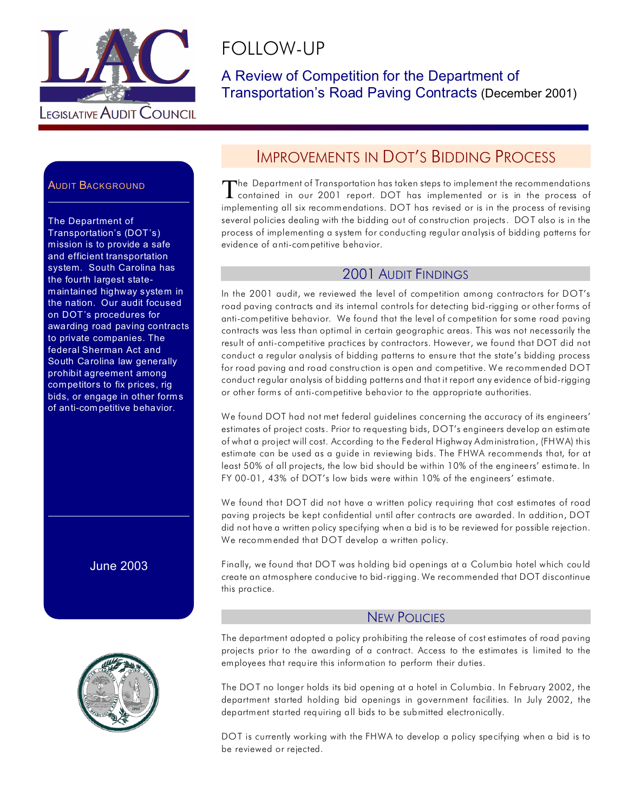

# FOLLOW-UP

A Review of Competition for the Department of Transportation's Road Paving Contracts (December 2001)

## **AUDIT BACKGROUND**

The Department of Transportation's (DOT's) mission is to provide a safe and efficient transportation system. South Carolina has the fourth largest statemaintained highway system in the nation. Our audit focused on DOT's procedures for awarding road paving contracts to private companies. The federal Sherman Act and South Carolina law generally prohibit agreement among competitors to fix prices, rig bids, or engage in other forms of anti-com petitive behavior.

June 2003



# IMPROVEMENTS IN DOT'S BIDDING PROCESS

The Department of Transportation has taken steps to implement the recommendations<br>contained in our 2001 report. DOT has implemented or is in the process of The Department of Transportation has taken steps to implement the recommendations implementing all six recommendations. DOT has revised or is in the process of revising several policies dealing with the bidding out of construction projects. DO T also is in the process of implementing a system for conducting regular analysis of bidding patterns for evidence of anti-competitive behavior.

#### 2001 AUDIT FINDINGS

In the 2001 audit, we reviewed the level of competition among contractors for DOT's road paving contracts and its internal controls for detecting bid-rigging or other forms of anti-competitive behavior. We found that the level of competition for some road paving contracts was less than optimal in certain geographic areas. This was not necessarily the result of anti-competitive practices by contractors. However, we found that DOT did not conduct a regular analysis of bidding patterns to ensure that the state's bidding process for road paving and road construction is open and competitive. We recommended DOT conduct regular analysis of bidding patterns and that it report any evidence of bid-rigging or other forms of anti-competitive behavior to the appropriate authorities.

We found DOT had not met federal guidelines concerning the accuracy of its engineers' estimates of project costs. Prior to requesting bids, DOT's engineers develop an estimate of what a project will cost. According to the Federal Highway Administration, (FHWA) this estimate can be used as a guide in reviewing bids. The FHWA recommends that, for at least 50% of all projects, the low bid should be within 10% of the engineers' estimate. In FY 00-01, 43% of DOT's low bids were within 10% of the engineers' estimate.

We found that DOT did not have a written policy requiring that cost estimates of road paving projects be kept confidential until after contracts are awarded. In addition, DOT did not have a written policy specifying when a bid is to be reviewed for possible rejection. We recommended that DOT develop a written policy.

Finally, we found that DOT was holding bid openings at a Columbia hotel which could create an atmosphere conducive to bid-rigging. We recommended that DOT discontinue this practice.

#### NEW POLICIES

The department adopted a policy prohibiting the release of cost estimates of road paving projects prior to the awarding of a contract. Access to the estimates is limited to the employees that require this information to perform their duties.

The DOT no longer holds its bid opening at a hotel in Columbia. In February 2002, the department started holding bid openings in government facilities. In July 2002, the department started requiring all bids to be submitted electronically.

DOT is currently working with the FHWA to develop a policy specifying when a bid is to be reviewed or rejected.